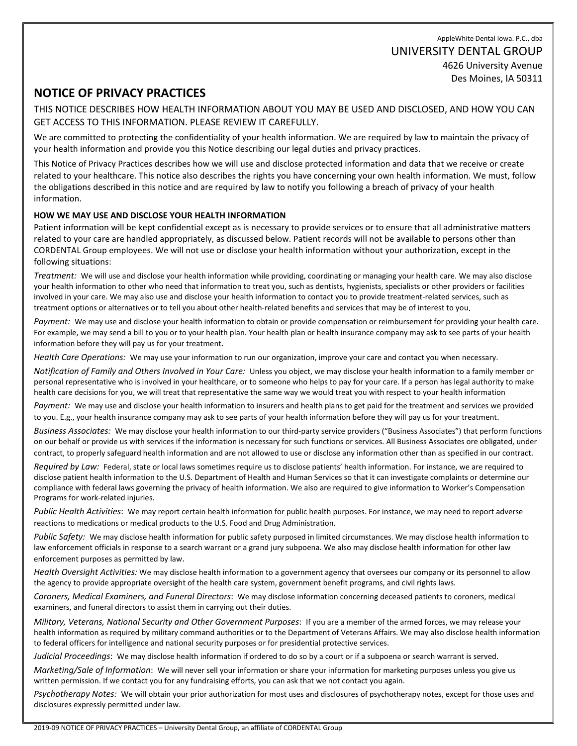AppleWhite Dental Iowa. P.C., dba UNIVERSITY DENTAL GROUP 4626 University Avenue Des Moines, IA 50311

# **NOTICE OF PRIVACY PRACTICES**

THIS NOTICE DESCRIBES HOW HEALTH INFORMATION ABOUT YOU MAY BE USED AND DISCLOSED, AND HOW YOU CAN GET ACCESS TO THIS INFORMATION. PLEASE REVIEW IT CAREFULLY.

We are committed to protecting the confidentiality of your health information. We are required by law to maintain the privacy of your health information and provide you this Notice describing our legal duties and privacy practices.

This Notice of Privacy Practices describes how we will use and disclose protected information and data that we receive or create related to your healthcare. This notice also describes the rights you have concerning your own health information. We must, follow the obligations described in this notice and are required by law to notify you following a breach of privacy of your health information.

### **HOW WE MAY USE AND DISCLOSE YOUR HEALTH INFORMATION**

Patient information will be kept confidential except as is necessary to provide services or to ensure that all administrative matters related to your care are handled appropriately, as discussed below. Patient records will not be available to persons other than CORDENTAL Group employees. We will not use or disclose your health information without your authorization, except in the following situations:

*Treatment:* We will use and disclose your health information while providing, coordinating or managing your health care. We may also disclose your health information to other who need that information to treat you, such as dentists, hygienists, specialists or other providers or facilities involved in your care. We may also use and disclose your health information to contact you to provide treatment-related services, such as treatment options or alternatives or to tell you about other health-related benefits and services that may be of interest to you.

*Payment:* We may use and disclose your health information to obtain or provide compensation or reimbursement for providing your health care. For example, we may send a bill to you or to your health plan. Your health plan or health insurance company may ask to see parts of your health information before they will pay us for your treatment.

*Health Care Operations:* We may use your information to run our organization, improve your care and contact you when necessary.

*Notification of Family and Others Involved in Your Care:* Unless you object, we may disclose your health information to a family member or personal representative who is involved in your healthcare, or to someone who helps to pay for your care. If a person has legal authority to make health care decisions for you, we will treat that representative the same way we would treat you with respect to your health information

*Payment:* We may use and disclose your health information to insurers and health plans to get paid for the treatment and services we provided to you. E.g., your health insurance company may ask to see parts of your health information before they will pay us for your treatment.

*Business Associates:* We may disclose your health information to our third-party service providers ("Business Associates") that perform functions on our behalf or provide us with services if the information is necessary for such functions or services. All Business Associates ore obligated, under contract, to properly safeguard health information and are not allowed to use or disclose any information other than as specified in our contract.

*Required by Law:* Federal, state or local laws sometimes require us to disclose patients' health information. For instance, we are required to disclose patient health information to the U.S. Department of Health and Human Services so that it can investigate complaints or determine our compliance with federal laws governing the privacy of health information. We also are required to give information to Worker's Compensation Programs for work-related injuries.

*Public Health Activities*: We may report certain health information for public health purposes. For instance, we may need to report adverse reactions to medications or medical products to the U.S. Food and Drug Administration.

*Public Safety:* We may disclose health information for public safety purposed in limited circumstances. We may disclose health information to law enforcement officials in response to a search warrant or a grand jury subpoena. We also may disclose health information for other law enforcement purposes as permitted by law.

*Health Oversight Activities:* We may disclose health information to a government agency that oversees our company or its personnel to allow the agency to provide appropriate oversight of the health care system, government benefit programs, and civil rights laws.

*Coroners, Medical Examiners, and Funeral Directors*: We may disclose information concerning deceased patients to coroners, medical examiners, and funeral directors to assist them in carrying out their duties.

*Military, Veterans, National Security and Other Government Purposes*: If you are a member of the armed forces, we may release your health information as required by military command authorities or to the Department of Veterans Affairs. We may also disclose health information to federal officers for intelligence and national security purposes or for presidential protective services.

*Judicial Proceedings*: We may disclose health information if ordered to do so by a court or if a subpoena or search warrant is served.

*Marketing/Sale of Information*: We will never sell your information or share your information for marketing purposes unless you give us written permission. If we contact you for any fundraising efforts, you can ask that we not contact you again.

*Psychotherapy Notes:* We will obtain your prior authorization for most uses and disclosures of psychotherapy notes, except for those uses and disclosures expressly permitted under law.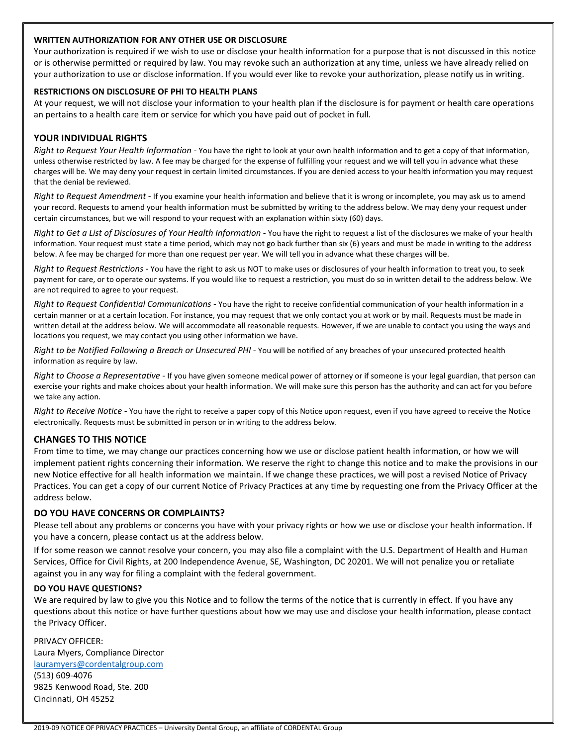#### **WRITTEN AUTHORIZATION FOR ANY OTHER USE OR DISCLOSURE**

Your authorization is required if we wish to use or disclose your health information for a purpose that is not discussed in this notice or is otherwise permitted or required by law. You may revoke such an authorization at any time, unless we have already relied on your authorization to use or disclose information. If you would ever like to revoke your authorization, please notify us in writing.

#### **RESTRICTIONS ON DISCLOSURE OF PHI TO HEALTH PLANS**

At your request, we will not disclose your information to your health plan if the disclosure is for payment or health care operations an pertains to a health care item or service for which you have paid out of pocket in full.

### **YOUR INDIVIDUAL RIGHTS**

*Right to Request Your Health Information -* You have the right to look at your own health information and to get a copy of that information, unless otherwise restricted by law. A fee may be charged for the expense of fulfilling your request and we will tell you in advance what these charges will be. We may deny your request in certain limited circumstances. If you are denied access to your health information you may request that the denial be reviewed.

*Right to Request Amendment* - If you examine your health information and believe that it is wrong or incomplete, you may ask us to amend your record. Requests to amend your health information must be submitted by writing to the address below. We may deny your request under certain circumstances, but we will respond to your request with an explanation within sixty (60) days.

*Right to Get a List of Disclosures of Your Health Information* - You have the right to request a list of the disclosures we make of your health information. Your request must state a time period, which may not go back further than six (6) years and must be made in writing to the address below. A fee may be charged for more than one request per year. We will tell you in advance what these charges will be.

*Right to Request Restrictions* - You have the right to ask us NOT to make uses or disclosures of your health information to treat you, to seek payment for care, or to operate our systems. If you would like to request a restriction, you must do so in written detail to the address below. We are not required to agree to your request.

*Right to Request Confidential Communications -* You have the right to receive confidential communication of your health information in a certain manner or at a certain location. For instance, you may request that we only contact you at work or by mail. Requests must be made in written detail at the address below. We will accommodate all reasonable requests. However, if we are unable to contact you using the ways and locations you request, we may contact you using other information we have.

*Right to be Notified Following a Breach or Unsecured PHI* - You will be notified of any breaches of your unsecured protected health information as require by law.

*Right to Choose a Representative* - If you have given someone medical power of attorney or if someone is your legal guardian, that person can exercise your rights and make choices about your health information. We will make sure this person has the authority and can act for you before we take any action.

*Right to Receive Notice* - You have the right to receive a paper copy of this Notice upon request, even if you have agreed to receive the Notice electronically. Requests must be submitted in person or in writing to the address below.

#### **CHANGES TO THIS NOTICE**

From time to time, we may change our practices concerning how we use or disclose patient health information, or how we will implement patient rights concerning their information. We reserve the right to change this notice and to make the provisions in our new Notice effective for all health information we maintain. If we change these practices, we will post a revised Notice of Privacy Practices. You can get a copy of our current Notice of Privacy Practices at any time by requesting one from the Privacy Officer at the address below.

#### **DO YOU HAVE CONCERNS OR COMPLAINTS?**

Please tell about any problems or concerns you have with your privacy rights or how we use or disclose your health information. If you have a concern, please contact us at the address below.

If for some reason we cannot resolve your concern, you may also file a complaint with the U.S. Department of Health and Human Services, Office for Civil Rights, at 200 Independence Avenue, SE, Washington, DC 20201. We will not penalize you or retaliate against you in any way for filing a complaint with the federal government.

#### **DO YOU HAVE QUESTIONS?**

We are required by law to give you this Notice and to follow the terms of the notice that is currently in effect. If you have any questions about this notice or have further questions about how we may use and disclose your health information, please contact the Privacy Officer.

PRIVACY OFFICER: Laura Myers, Compliance Director [lauramyers@cordentalgroup.com](mailto:lauramyers@cordentalgroup.com) (513) 609-4076 9825 Kenwood Road, Ste. 200 Cincinnati, OH 45252